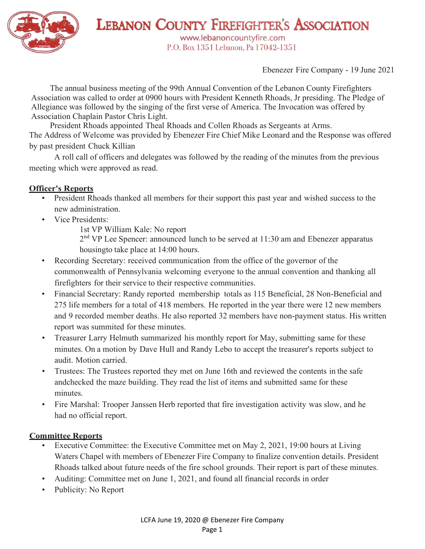

**LEBANON COUNTY FIREFIGHTER'S ASSOCIATION** www.lebanoncountyfire.com P.O. Box 1351 Lebanon, Pa 17042-1351

Ebenezer Fire Company - 19 June 2021

The annual business meeting of the 99th Annual Convention of the Lebanon County Firefighters Association was called to order at 0900 hours with President Kenneth Rhoads, Jr presiding. The Pledge of Allegiance was followed by the singing of the first verse of America. The Invocation was offered by Association Chaplain Pastor Chris Light.

President Rhoads appointed Theal Rhoads and Collen Rhoads as Sergeants at Arms. The Address of Welcome was provided by Ebenezer Fire Chief Mike Leonard and the Response was offered by past president Chuck Killian

A roll call of officers and delegates was followed by the reading of the minutes from the previous meeting which were approved as read.

# Officer's Reports

- President Rhoads thanked all members for their support this past year and wished success to the new administration.
- Vice Presidents:
	- 1st VP William Kale: No report
	- 2<sup>nd</sup> VP Lee Spencer: announced lunch to be served at 11:30 am and Ebenezer apparatus housing to take place at 14:00 hours.
- Recording Secretary: received communication from the office of the governor of the commonwealth of Pennsylvania welcoming everyone to the annual convention and thanking all firefighters for their service to their respective communities.
- Financial Secretary: Randy reported membership totals as 115 Beneficial, 28 Non-Beneficial and 275 life members for a total of 418 members. He reported in the year there were 12 new members and 9 recorded member deaths. He also reported 32 members have non-payment status. His written report was summited for these minutes.
- Treasurer Larry Helmuth summarized his monthly report for May, submitting same for these minutes. On a motion by Dave Hull and Randy Lebo to accept the treasurer's reports subject to audit. Motion carried.
- Trustees: The Trustees reported they met on June 16th and reviewed the contents in the safe and checked the maze building. They read the list of items and submitted same for these minutes.
- Fire Marshal: Trooper Janssen Herb reported that fire investigation activity was slow, and he had no official report.

## Committee Reports

- Executive Committee: the Executive Committee met on May 2, 2021, 19:00 hours at Living Waters Chapel with members of Ebenezer Fire Company to finalize convention details. President Rhoads talked about future needs of the fire school grounds. Their report is part of these minutes.
- Auditing: Committee met on June 1, 2021, and found all financial records in order
- Publicity: No Report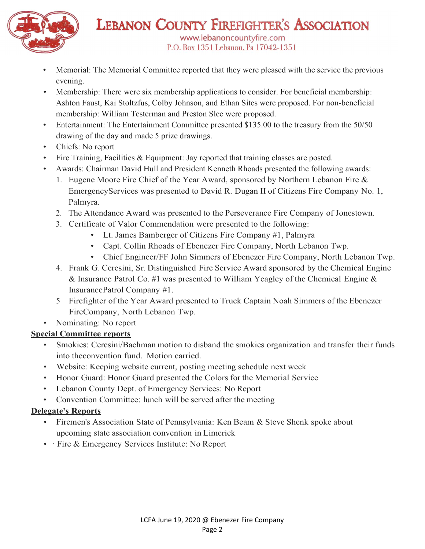

LEBANON COUNTY FIREFIGHTER'S ASSOCIATION www.lebanoncountyfire.com P.O. Box 1351 Lebanon, Pa 17042-1351

- Memorial: The Memorial Committee reported that they were pleased with the service the previous evening.
- Membership: There were six membership applications to consider. For beneficial membership: Ashton Faust, Kai Stoltzfus, Colby Johnson, and Ethan Sites were proposed. For non-beneficial membership: William Testerman and Preston Slee were proposed.
- Entertainment: The Entertainment Committee presented \$135.00 to the treasury from the 50/50 drawing of the day and made 5 prize drawings.
- Chiefs: No report
- Fire Training, Facilities & Equipment: Jay reported that training classes are posted.
- Awards: Chairman David Hull and President Kenneth Rhoads presented the following awards:
	- 1. Eugene Moore Fire Chief of the Year Award, sponsored by Northern Lebanon Fire & Emergency Services was presented to David R. Dugan II of Citizens Fire Company No. 1, Palmyra.
	- 2. The Attendance Award was presented to the Perseverance Fire Company of Jonestown.
	- -
		-
	- 3. Certificate of Valor Commendation were presented to the following:<br>
	Lt. James Bamberger of Citizens Fire Company #1, Palmyra<br>
	Capt. Collin Rhoads of Ebenezer Fire Company, North Lebanon Twp.<br>
	Chief Engineer/FF Joh
	- 4. Frank G. Ceresini, Sr. Distinguished Fire Service Award sponsored by the Chemical Engine & Insurance Patrol Co. #1 was presented to William Yeagley of the Chemical Engine & Insurance Patrol Company #1.
	- 5 Firefighter of the Year Award presented to Truck Captain Noah Simmers of the Ebenezer Fire Company, North Lebanon Twp.
- Nominating: No report

# Special Committee reports

- Smokies: Ceresini/Bachman motion to disband the smokies organization and transfer their funds into the convention fund. Motion carried.
- Website: Keeping website current, posting meeting schedule next week
- Honor Guard: Honor Guard presented the Colors for the Memorial Service
- Lebanon County Dept. of Emergency Services: No Report
- Convention Committee: lunch will be served after the meeting

# Delegate's Reports

- Firemen's Association State of Pennsylvania: Ken Beam & Steve Shenk spoke about upcoming state association convention in Limerick
- · Fire & Emergency Services Institute: No Report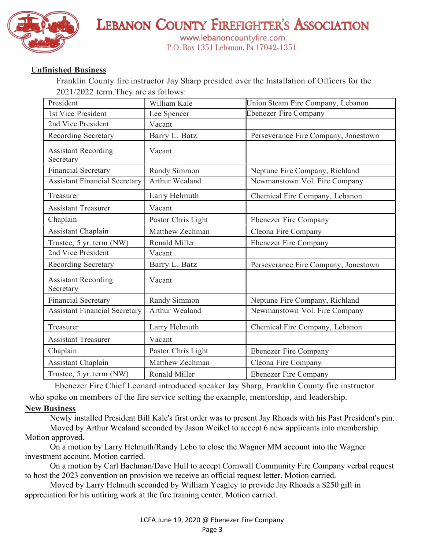

**LEBANON COUNTY FIREFIGHTER'S ASSOCIATION** www.lebanoncountyfire.com P.O. Box 1351 Lebanon, Pa 17042-1351

## Unfinished Business

Franklin County fire instructor Jay Sharp presided over the Installation of Officers for the 2021/2022 term. They are as follows:

| President                               | William Kale       | Union Steam Fire Company, Lebanon    |
|-----------------------------------------|--------------------|--------------------------------------|
| 1st Vice President                      | Lee Spencer        | <b>Ebenezer Fire Company</b>         |
| 2nd Vice President                      | Vacant             |                                      |
| Recording Secretary                     | Barry L. Batz      | Perseverance Fire Company, Jonestown |
| <b>Assistant Recording</b><br>Secretary | Vacant             |                                      |
| <b>Financial Secretary</b>              | Randy Simmon       | Neptune Fire Company, Richland       |
| <b>Assistant Financial Secretary</b>    | Arthur Wealand     | Newmanstown Vol. Fire Company        |
| Treasurer                               | Larry Helmuth      | Chemical Fire Company, Lebanon       |
| <b>Assistant Treasurer</b>              | Vacant             |                                      |
| Chaplain                                | Pastor Chris Light | <b>Ebenezer Fire Company</b>         |
| Assistant Chaplain                      | Matthew Zechman    | Cleona Fire Company                  |
| Trustee, 5 yr. term (NW)                | Ronald Miller      | <b>Ebenezer Fire Company</b>         |
| 2nd Vice President                      | Vacant             |                                      |
| Recording Secretary                     | Barry L. Batz      | Perseverance Fire Company, Jonestown |
| <b>Assistant Recording</b><br>Secretary | Vacant             |                                      |
| <b>Financial Secretary</b>              | Randy Simmon       | Neptune Fire Company, Richland       |
| <b>Assistant Financial Secretary</b>    | Arthur Wealand     | Newmanstown Vol. Fire Company        |
| Treasurer                               | Larry Helmuth      | Chemical Fire Company, Lebanon       |
| <b>Assistant Treasurer</b>              | Vacant             |                                      |
| Chaplain                                | Pastor Chris Light | <b>Ebenezer Fire Company</b>         |
| Assistant Chaplain                      | Matthew Zechman    | Cleona Fire Company                  |
| Trustee, 5 yr. term (NW)                | Ronald Miller      | <b>Ebenezer Fire Company</b>         |

Ebenezer Fire Chief Leonard introduced speaker Jay Sharp, Franklin County fire instructor who spoke on members of the fire service setting the example, mentorship, and leadership.

### **New Business**

Newly installed President Bill Kale's first order was to present Jay Rhoads with his Past President's pin. Moved by Arthur Wealand seconded by Jason Weikel to accept 6 new applicants into membership. Motion approved.

On a motion by Larry Helmuth/Randy Lebo to close the Wagner MM account into the Wagner investment account. Motion carried.

On a motion by Carl Bachman/Dave Hull to accept Cornwall Community Fire Company verbal request to host the 2023 convention on provision we receive an official request letter. Motion carried.

Moved by Larry Helmuth seconded by William Yeagley to provide Jay Rhoads a \$250 gift in appreciation for his untiring work at the fire training center. Motion carried.